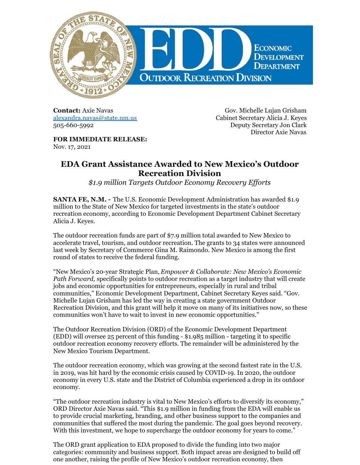

**Contact:** Axie Navas [alexandra.navas@state.nm.us](mailto:alexandra.navas@state.nm.us) 505-660-5992

Gov. Michelle Lujan Grisham Cabinet Secretary Alicia J. Keyes Deputy Secretary Jon Clark Director Axie Navas

**FOR IMMEDIATE RELEASE:** Nov. 17, 2021

## **EDA Grant Assistance Awarded to New Mexico's Outdoor Recreation Division**

*\$1.9 million Targets Outdoor Economy Recovery Ef orts*

**SANTA FE, N.M. -** The U.S. Economic Development Administration has awarded \$1.9 million to the State of New Mexico for targeted investments in the state's outdoor recreation economy, according to Economic Development Department Cabinet Secretary Alicia J. Keyes.

The outdoor recreation funds are part of \$7.9 million total awarded to New Mexico to accelerate travel, tourism, and outdoor recreation. The grants to 34 states were announced last week by Secretary of Commerce Gina M. Raimondo. New Mexico is among the first round of states to receive the federal funding.

"New Mexico's 20-year Strategic Plan, *Empower & Collaborate: New Mexico's Economic Path Forward,* specifically points to outdoor recreation as a target industry that will create jobs and economic opportunities for entrepreneurs, especially in rural and tribal communities," Economic Development Department, Cabinet Secretary Keyes said. "Gov. Michelle Lujan Grisham has led the way in creating a state government Outdoor Recreation Division, and this grant will help it move on many of its initiatives now, so these communities won't have to wait to invest in new economic opportunities."

The Outdoor Recreation Division (ORD) of the Economic Development Department (EDD) will oversee 25 percent of this funding - \$1.985 million - targeting it to specific outdoor recreation economy recovery efforts. The remainder will be administered by the New Mexico Tourism Department.

The outdoor recreation economy, which was growing at the second fastest rate in the U.S. in 2019, was hit hard by the economic crisis caused by COVID-19. In 2020, the outdoor economy in every U.S. state and the District of Columbia experienced a drop in its outdoor economy.

"The outdoor recreation industry is vital to New Mexico's efforts to diversify its economy," ORD Director Axie Navas said. "This \$1.9 million in funding from the EDA will enable us to provide crucial marketing, branding, and other business support to the companies and communities that suffered the most during the pandemic. The goal goes beyond recovery. With this investment, we hope to supercharge the outdoor economy for years to come."

The ORD grant application to EDA proposed to divide the funding into two major categories: community and business support. Both impact areas are designed to build off one another, raising the profile of New Mexico's outdoor recreation economy, then